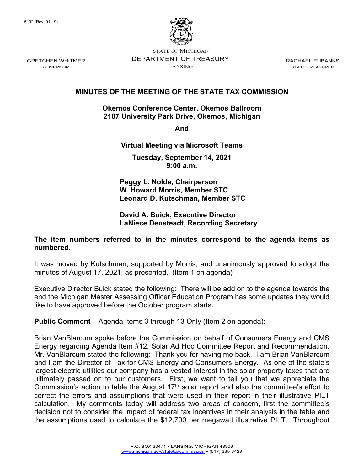

STATE OF MICHIGAN DEPARTMENT OF TREASURY LANSING

RACHAEL EUBANKS STATE TREASURER

## **MINUTES OF THE MEETING OF THE STATE TAX COMMISSION**

#### **Okemos Conference Center, Okemos Ballroom 2187 University Park Drive, Okemos, Michigan**

**And** 

### **Virtual Meeting via Microsoft Teams**

**Tuesday, September 14, 2021 9:00 a.m.**

**Peggy L. Nolde, Chairperson W. Howard Morris, Member STC Leonard D. Kutschman, Member STC**

#### **David A. Buick, Executive Director LaNiece Densteadt, Recording Secretary**

### **The item numbers referred to in the minutes correspond to the agenda items as numbered.**

It was moved by Kutschman, supported by Morris, and unanimously approved to adopt the minutes of August 17, 2021, as presented. (Item 1 on agenda)

Executive Director Buick stated the following: There will be add on to the agenda towards the end the Michigan Master Assessing Officer Education Program has some updates they would like to have approved before the October program starts.

**Public Comment** – Agenda Items 3 through 13 Only (Item 2 on agenda):

Brian VanBlarcum spoke before the Commission on behalf of Consumers Energy and CMS Energy regarding Agenda Item #12, Solar Ad Hoc Committee Report and Recommendation. Mr. VanBlarcum stated the following: Thank you for having me back. I am Brian VanBlarcum and I am the Director of Tax for CMS Energy and Consumers Energy. As one of the state's largest electric utilities our company has a vested interest in the solar property taxes that are ultimately passed on to our customers. First, we want to tell you that we appreciate the Commission's action to table the August  $17<sup>th</sup>$  solar report and also the committee's effort to correct the errors and assumptions that were used in their report in their illustrative PILT calculation. My comments today will address two areas of concern, first the committee's decision not to consider the impact of federal tax incentives in their analysis in the table and the assumptions used to calculate the \$12,700 per megawatt illustrative PILT. Throughout

GRETCHEN WHITMER GOVERNOR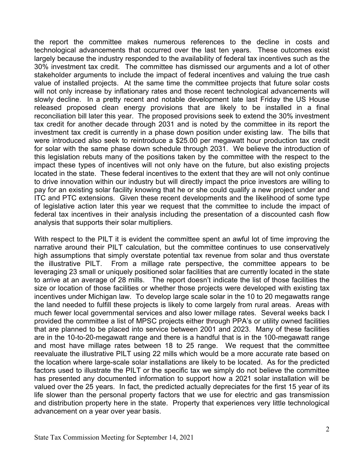the report the committee makes numerous references to the decline in costs and technological advancements that occurred over the last ten years. These outcomes exist largely because the industry responded to the availability of federal tax incentives such as the 30% investment tax credit. The committee has dismissed our arguments and a lot of other stakeholder arguments to include the impact of federal incentives and valuing the true cash value of installed projects. At the same time the committee projects that future solar costs will not only increase by inflationary rates and those recent technological advancements will slowly decline. In a pretty recent and notable development late last Friday the US House released proposed clean energy provisions that are likely to be installed in a final reconciliation bill later this year. The proposed provisions seek to extend the 30% investment tax credit for another decade through 2031 and is noted by the committee in its report the investment tax credit is currently in a phase down position under existing law. The bills that were introduced also seek to reintroduce a \$25.00 per megawatt hour production tax credit for solar with the same phase down schedule through 2031. We believe the introduction of this legislation rebuts many of the positions taken by the committee with the respect to the impact these types of incentives will not only have on the future, but also existing projects located in the state. These federal incentives to the extent that they are will not only continue to drive innovation within our industry but will directly impact the price investors are willing to pay for an existing solar facility knowing that he or she could qualify a new project under and ITC and PTC extensions. Given these recent developments and the likelihood of some type of legislative action later this year we request that the committee to include the impact of federal tax incentives in their analysis including the presentation of a discounted cash flow analysis that supports their solar multipliers.

With respect to the PILT it is evident the committee spent an awful lot of time improving the narrative around their PILT calculation, but the committee continues to use conservatively high assumptions that simply overstate potential tax revenue from solar and thus overstate the illustrative PILT. From a millage rate perspective, the committee appears to be leveraging 23 small or uniquely positioned solar facilities that are currently located in the state to arrive at an average of 28 mills. The report doesn't indicate the list of those facilities the size or location of those facilities or whether those projects were developed with existing tax incentives under Michigan law. To develop large scale solar in the 10 to 20 megawatts range the land needed to fulfill these projects is likely to come largely from rural areas. Areas with much fewer local governmental services and also lower millage rates. Several weeks back I provided the committee a list of MPSC projects either through PPA's or utility owned facilities that are planned to be placed into service between 2001 and 2023. Many of these facilities are in the 10-to-20-megawatt range and there is a handful that is in the 100-megawatt range and most have millage rates between 18 to 25 range. We request that the committee reevaluate the illustrative PILT using 22 mills which would be a more accurate rate based on the location where large-scale solar installations are likely to be located. As for the predicted factors used to illustrate the PILT or the specific tax we simply do not believe the committee has presented any documented information to support how a 2021 solar installation will be valued over the 25 years. In fact, the predicted actually depreciates for the first 15 year of its life slower than the personal property factors that we use for electric and gas transmission and distribution property here in the state. Property that experiences very little technological advancement on a year over year basis.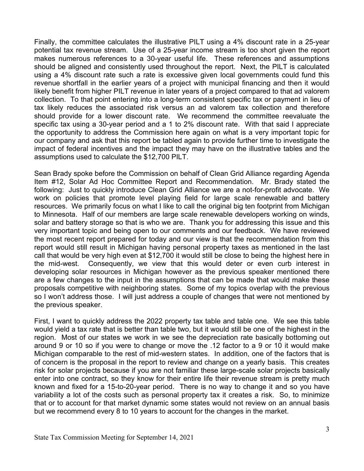Finally, the committee calculates the illustrative PILT using a 4% discount rate in a 25-year potential tax revenue stream. Use of a 25-year income stream is too short given the report makes numerous references to a 30-year useful life. These references and assumptions should be aligned and consistently used throughout the report. Next, the PILT is calculated using a 4% discount rate such a rate is excessive given local governments could fund this revenue shortfall in the earlier years of a project with municipal financing and then it would likely benefit from higher PILT revenue in later years of a project compared to that ad valorem collection. To that point entering into a long-term consistent specific tax or payment in lieu of tax likely reduces the associated risk versus an ad valorem tax collection and therefore should provide for a lower discount rate. We recommend the committee reevaluate the specific tax using a 30-year period and a 1 to 2% discount rate. With that said I appreciate the opportunity to address the Commission here again on what is a very important topic for our company and ask that this report be tabled again to provide further time to investigate the impact of federal incentives and the impact they may have on the illustrative tables and the assumptions used to calculate the \$12,700 PILT.

Sean Brady spoke before the Commission on behalf of Clean Grid Alliance regarding Agenda Item #12, Solar Ad Hoc Committee Report and Recommendation. Mr. Brady stated the following: Just to quickly introduce Clean Grid Alliance we are a not-for-profit advocate. We work on policies that promote level playing field for large scale renewable and battery resources. We primarily focus on what I like to call the original big ten footprint from Michigan to Minnesota. Half of our members are large scale renewable developers working on winds, solar and battery storage so that is who we are. Thank you for addressing this issue and this very important topic and being open to our comments and our feedback. We have reviewed the most recent report prepared for today and our view is that the recommendation from this report would still result in Michigan having personal property taxes as mentioned in the last call that would be very high even at \$12,700 it would still be close to being the highest here in the mid-west. Consequently, we view that this would deter or even curb interest in developing solar resources in Michigan however as the previous speaker mentioned there are a few changes to the input in the assumptions that can be made that would make these proposals competitive with neighboring states. Some of my topics overlap with the previous so I won't address those. I will just address a couple of changes that were not mentioned by the previous speaker.

First, I want to quickly address the 2022 property tax table and table one. We see this table would yield a tax rate that is better than table two, but it would still be one of the highest in the region. Most of our states we work in we see the depreciation rate basically bottoming out around 9 or 10 so if you were to change or move the .12 factor to a 9 or 10 it would make Michigan comparable to the rest of mid-western states. In addition, one of the factors that is of concern is the proposal in the report to review and change on a yearly basis. This creates risk for solar projects because if you are not familiar these large-scale solar projects basically enter into one contract, so they know for their entire life their revenue stream is pretty much known and fixed for a 15-to-20-year period. There is no way to change it and so you have variability a lot of the costs such as personal property tax it creates a risk. So, to minimize that or to account for that market dynamic some states would not review on an annual basis but we recommend every 8 to 10 years to account for the changes in the market.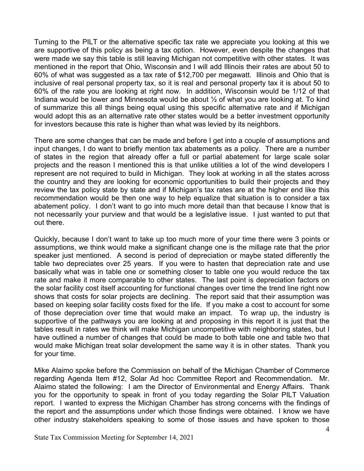Turning to the PILT or the alternative specific tax rate we appreciate you looking at this we are supportive of this policy as being a tax option. However, even despite the changes that were made we say this table is still leaving Michigan not competitive with other states. It was mentioned in the report that Ohio, Wisconsin and I will add Illinois their rates are about 50 to 60% of what was suggested as a tax rate of \$12,700 per megawatt. Illinois and Ohio that is inclusive of real personal property tax, so it is real and personal property tax it is about 50 to 60% of the rate you are looking at right now. In addition, Wisconsin would be 1/12 of that Indiana would be lower and Minnesota would be about ½ of what you are looking at. To kind of summarize this all things being equal using this specific alternative rate and if Michigan would adopt this as an alternative rate other states would be a better investment opportunity for investors because this rate is higher than what was levied by its neighbors.

There are some changes that can be made and before I get into a couple of assumptions and input changes, I do want to briefly mention tax abatements as a policy. There are a number of states in the region that already offer a full or partial abatement for large scale solar projects and the reason I mentioned this is that unlike utilities a lot of the wind developers I represent are not required to build in Michigan. They look at working in all the states across the country and they are looking for economic opportunities to build their projects and they review the tax policy state by state and if Michigan's tax rates are at the higher end like this recommendation would be then one way to help equalize that situation is to consider a tax abatement policy. I don't want to go into much more detail than that because I know that is not necessarily your purview and that would be a legislative issue. I just wanted to put that out there.

Quickly, because I don't want to take up too much more of your time there were 3 points or assumptions, we think would make a significant change one is the millage rate that the prior speaker just mentioned. A second is period of depreciation or maybe stated differently the table two depreciates over 25 years. If you were to hasten that depreciation rate and use basically what was in table one or something closer to table one you would reduce the tax rate and make it more comparable to other states. The last point is depreciation factors on the solar facility cost itself accounting for functional changes over time the trend line right now shows that costs for solar projects are declining. The report said that their assumption was based on keeping solar facility costs fixed for the life. If you make a cost to account for some of those depreciation over time that would make an impact. To wrap up, the industry is supportive of the pathways you are looking at and proposing in this report it is just that the tables result in rates we think will make Michigan uncompetitive with neighboring states, but I have outlined a number of changes that could be made to both table one and table two that would make Michigan treat solar development the same way it is in other states. Thank you for your time.

Mike Alaimo spoke before the Commission on behalf of the Michigan Chamber of Commerce regarding Agenda Item #12, Solar Ad hoc Committee Report and Recommendation. Mr. Alaimo stated the following: I am the Director of Environmental and Energy Affairs. Thank you for the opportunity to speak in front of you today regarding the Solar PILT Valuation report. I wanted to express the Michigan Chamber has strong concerns with the findings of the report and the assumptions under which those findings were obtained. I know we have other industry stakeholders speaking to some of those issues and have spoken to those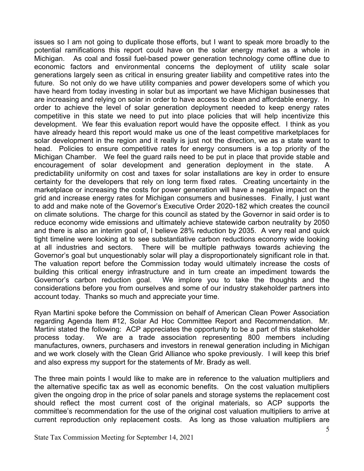issues so I am not going to duplicate those efforts, but I want to speak more broadly to the potential ramifications this report could have on the solar energy market as a whole in Michigan. As coal and fossil fuel-based power generation technology come offline due to economic factors and environmental concerns the deployment of utility scale solar generations largely seen as critical in ensuring greater liability and competitive rates into the future. So not only do we have utility companies and power developers some of which you have heard from today investing in solar but as important we have Michigan businesses that are increasing and relying on solar in order to have access to clean and affordable energy. In order to achieve the level of solar generation deployment needed to keep energy rates competitive in this state we need to put into place policies that will help incentivize this development. We fear this evaluation report would have the opposite effect. I think as you have already heard this report would make us one of the least competitive marketplaces for solar development in the region and it really is just not the direction, we as a state want to head. Policies to ensure competitive rates for energy consumers is a top priority of the Michigan Chamber. We feel the guard rails need to be put in place that provide stable and encouragement of solar development and generation deployment in the state. A predictability uniformity on cost and taxes for solar installations are key in order to ensure certainty for the developers that rely on long term fixed rates. Creating uncertainty in the marketplace or increasing the costs for power generation will have a negative impact on the grid and increase energy rates for Michigan consumers and businesses. Finally, I just want to add and make note of the Governor's Executive Order 2020-182 which creates the council on climate solutions. The charge for this council as stated by the Governor in said order is to reduce economy wide emissions and ultimately achieve statewide carbon neutrality by 2050 and there is also an interim goal of, I believe 28% reduction by 2035. A very real and quick tight timeline were looking at to see substantiative carbon reductions economy wide looking at all industries and sectors. There will be multiple pathways towards achieving the Governor's goal but unquestionably solar will play a disproportionately significant role in that. The valuation report before the Commission today would ultimately increase the costs of building this critical energy infrastructure and in turn create an impediment towards the Governor's carbon reduction goal. We implore you to take the thoughts and the considerations before you from ourselves and some of our industry stakeholder partners into account today. Thanks so much and appreciate your time.

Ryan Martini spoke before the Commission on behalf of American Clean Power Association regarding Agenda Item #12, Solar Ad Hoc Committee Report and Recommendation. Mr. Martini stated the following: ACP appreciates the opportunity to be a part of this stakeholder process today. We are a trade association representing 800 members including manufactures, owners, purchasers and investors in renewal generation including in Michigan and we work closely with the Clean Grid Alliance who spoke previously. I will keep this brief and also express my support for the statements of Mr. Brady as well.

The three main points I would like to make are in reference to the valuation multipliers and the alternative specific tax as well as economic benefits. On the cost valuation multipliers given the ongoing drop in the price of solar panels and storage systems the replacement cost should reflect the most current cost of the original materials, so ACP supports the committee's recommendation for the use of the original cost valuation multipliers to arrive at current reproduction only replacement costs. As long as those valuation multipliers are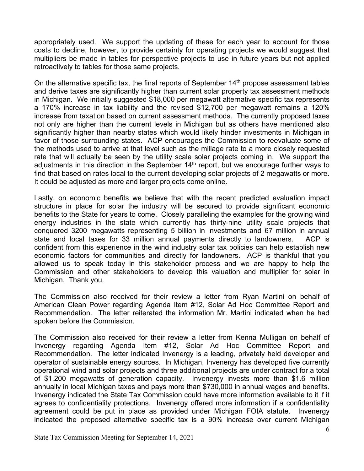appropriately used. We support the updating of these for each year to account for those costs to decline, however, to provide certainty for operating projects we would suggest that multipliers be made in tables for perspective projects to use in future years but not applied retroactively to tables for those same projects.

On the alternative specific tax, the final reports of September  $14<sup>th</sup>$  propose assessment tables and derive taxes are significantly higher than current solar property tax assessment methods in Michigan. We initially suggested \$18,000 per megawatt alternative specific tax represents a 170% increase in tax liability and the revised \$12,700 per megawatt remains a 120% increase from taxation based on current assessment methods. The currently proposed taxes not only are higher than the current levels in Michigan but as others have mentioned also significantly higher than nearby states which would likely hinder investments in Michigan in favor of those surrounding states. ACP encourages the Commission to reevaluate some of the methods used to arrive at that level such as the millage rate to a more closely requested rate that will actually be seen by the utility scale solar projects coming in. We support the adjustments in this direction in the September  $14<sup>th</sup>$  report, but we encourage further ways to find that based on rates local to the current developing solar projects of 2 megawatts or more. It could be adjusted as more and larger projects come online.

Lastly, on economic benefits we believe that with the recent predicted evaluation impact structure in place for solar the industry will be secured to provide significant economic benefits to the State for years to come. Closely paralleling the examples for the growing wind energy industries in the state which currently has thirty-nine utility scale projects that conquered 3200 megawatts representing 5 billion in investments and 67 million in annual state and local taxes for 33 million annual payments directly to landowners. ACP is confident from this experience in the wind industry solar tax policies can help establish new economic factors for communities and directly for landowners. ACP is thankful that you allowed us to speak today in this stakeholder process and we are happy to help the Commission and other stakeholders to develop this valuation and multiplier for solar in Michigan. Thank you.

The Commission also received for their review a letter from Ryan Martini on behalf of American Clean Power regarding Agenda Item #12, Solar Ad Hoc Committee Report and Recommendation. The letter reiterated the information Mr. Martini indicated when he had spoken before the Commission.

The Commission also received for their review a letter from Kenna Mulligan on behalf of Invenergy regarding Agenda Item #12, Solar Ad Hoc Committee Report and Recommendation. The letter indicated Invenergy is a leading, privately held developer and operator of sustainable energy sources. In Michigan, Invenergy has developed five currently operational wind and solar projects and three additional projects are under contract for a total of \$1,200 megawatts of generation capacity. Invenergy invests more than \$1.6 million annually in local Michigan taxes and pays more than \$730,000 in annual wages and benefits. Invenergy indicated the State Tax Commission could have more information available to it if it agrees to confidentiality protections. Invenergy offered more information if a confidentiality agreement could be put in place as provided under Michigan FOIA statute. Invenergy indicated the proposed alternative specific tax is a 90% increase over current Michigan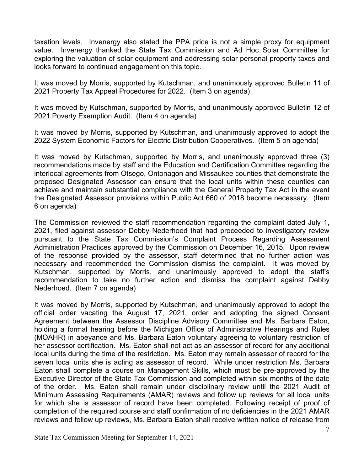taxation levels. Invenergy also stated the PPA price is not a simple proxy for equipment value. Invenergy thanked the State Tax Commission and Ad Hoc Solar Committee for exploring the valuation of solar equipment and addressing solar personal property taxes and looks forward to continued engagement on this topic.

It was moved by Morris, supported by Kutschman, and unanimously approved Bulletin 11 of 2021 Property Tax Appeal Procedures for 2022. (Item 3 on agenda)

It was moved by Kutschman, supported by Morris, and unanimously approved Bulletin 12 of 2021 Poverty Exemption Audit. (Item 4 on agenda)

It was moved by Morris, supported by Kutschman, and unanimously approved to adopt the 2022 System Economic Factors for Electric Distribution Cooperatives. (Item 5 on agenda)

It was moved by Kutschman, supported by Morris, and unanimously approved three (3) recommendations made by staff and the Education and Certification Committee regarding the interlocal agreements from Otsego, Ontonagon and Missaukee counties that demonstrate the proposed Designated Assessor can ensure that the local units within these counties can achieve and maintain substantial compliance with the General Property Tax Act in the event the Designated Assessor provisions within Public Act 660 of 2018 become necessary. (Item 6 on agenda)

The Commission reviewed the staff recommendation regarding the complaint dated July 1, 2021, filed against assessor Debby Nederhoed that had proceeded to investigatory review pursuant to the State Tax Commission's Complaint Process Regarding Assessment Administration Practices approved by the Commission on December 16, 2015. Upon review of the response provided by the assessor, staff determined that no further action was necessary and recommended the Commission dismiss the complaint. It was moved by Kutschman, supported by Morris, and unanimously approved to adopt the staff's recommendation to take no further action and dismiss the complaint against Debby Nederhoed. (Item 7 on agenda)

It was moved by Morris, supported by Kutschman, and unanimously approved to adopt the official order vacating the August 17, 2021, order and adopting the signed Consent Agreement between the Assessor Discipline Advisory Committee and Ms. Barbara Eaton, holding a formal hearing before the Michigan Office of Administrative Hearings and Rules (MOAHR) in abeyance and Ms. Barbara Eaton voluntary agreeing to voluntary restriction of her assessor certification. Ms. Eaton shall not act as an assessor of record for any additional local units during the time of the restriction. Ms. Eaton may remain assessor of record for the seven local units she is acting as assessor of record. While under restriction Ms. Barbara Eaton shall complete a course on Management Skills, which must be pre-approved by the Executive Director of the State Tax Commission and completed within six months of the date of the order. Ms. Eaton shall remain under disciplinary review until the 2021 Audit of Minimum Assessing Requirements (AMAR) reviews and follow up reviews for all local units for which she is assessor of record have been completed. Following receipt of proof of completion of the required course and staff confirmation of no deficiencies in the 2021 AMAR reviews and follow up reviews, Ms. Barbara Eaton shall receive written notice of release from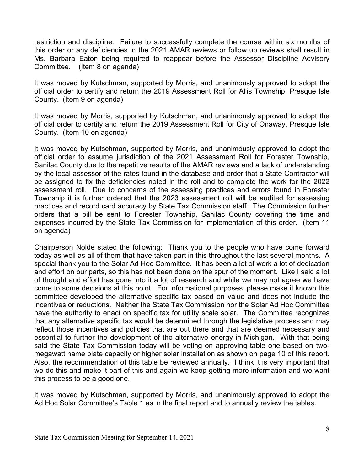restriction and discipline. Failure to successfully complete the course within six months of this order or any deficiencies in the 2021 AMAR reviews or follow up reviews shall result in Ms. Barbara Eaton being required to reappear before the Assessor Discipline Advisory Committee. (Item 8 on agenda)

It was moved by Kutschman, supported by Morris, and unanimously approved to adopt the official order to certify and return the 2019 Assessment Roll for Allis Township, Presque Isle County. (Item 9 on agenda)

It was moved by Morris, supported by Kutschman, and unanimously approved to adopt the official order to certify and return the 2019 Assessment Roll for City of Onaway, Presque Isle County. (Item 10 on agenda)

It was moved by Kutschman, supported by Morris, and unanimously approved to adopt the official order to assume jurisdiction of the 2021 Assessment Roll for Forester Township, Sanilac County due to the repetitive results of the AMAR reviews and a lack of understanding by the local assessor of the rates found in the database and order that a State Contractor will be assigned to fix the deficiencies noted in the roll and to complete the work for the 2022 assessment roll. Due to concerns of the assessing practices and errors found in Forester Township it is further ordered that the 2023 assessment roll will be audited for assessing practices and record card accuracy by State Tax Commission staff. The Commission further orders that a bill be sent to Forester Township, Sanilac County covering the time and expenses incurred by the State Tax Commission for implementation of this order. (Item 11 on agenda)

Chairperson Nolde stated the following: Thank you to the people who have come forward today as well as all of them that have taken part in this throughout the last several months. A special thank you to the Solar Ad Hoc Committee. It has been a lot of work a lot of dedication and effort on our parts, so this has not been done on the spur of the moment. Like I said a lot of thought and effort has gone into it a lot of research and while we may not agree we have come to some decisions at this point. For informational purposes, please make it known this committee developed the alternative specific tax based on value and does not include the incentives or reductions. Neither the State Tax Commission nor the Solar Ad Hoc Committee have the authority to enact on specific tax for utility scale solar. The Committee recognizes that any alternative specific tax would be determined through the legislative process and may reflect those incentives and policies that are out there and that are deemed necessary and essential to further the development of the alternative energy in Michigan. With that being said the State Tax Commission today will be voting on approving table one based on twomegawatt name plate capacity or higher solar installation as shown on page 10 of this report. Also, the recommendation of this table be reviewed annually. I think it is very important that we do this and make it part of this and again we keep getting more information and we want this process to be a good one.

It was moved by Kutschman, supported by Morris, and unanimously approved to adopt the Ad Hoc Solar Committee's Table 1 as in the final report and to annually review the tables.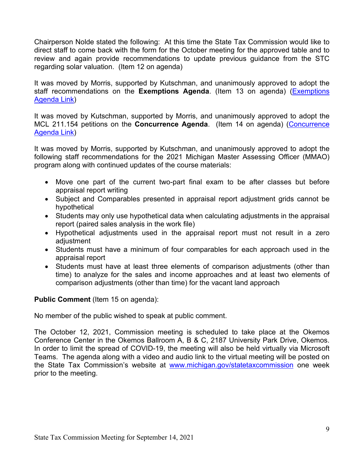Chairperson Nolde stated the following: At this time the State Tax Commission would like to direct staff to come back with the form for the October meeting for the approved table and to review and again provide recommendations to update previous guidance from the STC regarding solar valuation. (Item 12 on agenda)

It was moved by Morris, supported by Kutschman, and unanimously approved to adopt the staff recommendations on the **Exemptions Agenda**. (Item 13 on agenda) [\(Exemptions](https://www.michigan.gov/documents/treasury/13_Exemptions_Agenda_734740_7.pdf)  [Agenda Link\)](https://www.michigan.gov/documents/treasury/13_Exemptions_Agenda_734740_7.pdf)

It was moved by Kutschman, supported by Morris, and unanimously approved to adopt the MCL 211.154 petitions on the **Concurrence Agenda**. (Item 14 on agenda) [\(Concurrence](https://www.michigan.gov/documents/treasury/14_Agenda_-_Concurrence_-_For_Website_734741_7.pdf)  [Agenda Link\)](https://www.michigan.gov/documents/treasury/14_Agenda_-_Concurrence_-_For_Website_734741_7.pdf)

It was moved by Morris, supported by Kutschman, and unanimously approved to adopt the following staff recommendations for the 2021 Michigan Master Assessing Officer (MMAO) program along with continued updates of the course materials:

- Move one part of the current two-part final exam to be after classes but before appraisal report writing
- Subject and Comparables presented in appraisal report adjustment grids cannot be hypothetical
- Students may only use hypothetical data when calculating adjustments in the appraisal report (paired sales analysis in the work file)
- Hypothetical adjustments used in the appraisal report must not result in a zero adjustment
- Students must have a minimum of four comparables for each approach used in the appraisal report
- Students must have at least three elements of comparison adjustments (other than time) to analyze for the sales and income approaches and at least two elements of comparison adjustments (other than time) for the vacant land approach

# **Public Comment** (Item 15 on agenda):

No member of the public wished to speak at public comment.

The October 12, 2021, Commission meeting is scheduled to take place at the Okemos Conference Center in the Okemos Ballroom A, B & C, 2187 University Park Drive, Okemos. In order to limit the spread of COVID-19, the meeting will also be held virtually via Microsoft Teams. The agenda along with a video and audio link to the virtual meeting will be posted on the State Tax Commission's website at [www.michigan.gov/statetaxcommission](http://www.michigan.gov/statetaxcommission) one week prior to the meeting.